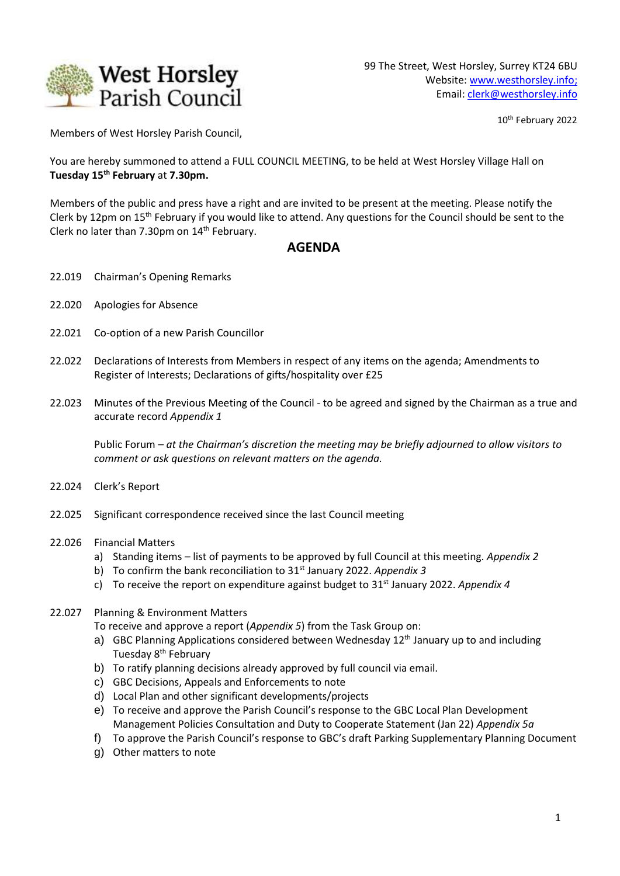

10<sup>th</sup> February 2022

Members of West Horsley Parish Council,

You are hereby summoned to attend a FULL COUNCIL MEETING, to be held at West Horsley Village Hall on **Tuesday 15th February** at **7.30pm.**

Members of the public and press have a right and are invited to be present at the meeting. Please notify the Clerk by 12pm on 15<sup>th</sup> February if you would like to attend. Any questions for the Council should be sent to the Clerk no later than 7.30pm on 14<sup>th</sup> February.

## **AGENDA**

- 22.019 Chairman's Opening Remarks
- 22.020 Apologies for Absence
- 22.021 Co-option of a new Parish Councillor
- 22.022 Declarations of Interests from Members in respect of any items on the agenda; Amendments to Register of Interests; Declarations of gifts/hospitality over £25
- 22.023 Minutes of the Previous Meeting of the Council *-* to be agreed and signed by the Chairman as a true and accurate record *Appendix 1*

Public Forum *– at the Chairman's discretion the meeting may be briefly adjourned to allow visitors to comment or ask questions on relevant matters on the agenda.*

- 22.024 Clerk's Report
- 22.025 Significant correspondence received since the last Council meeting
- 22.026 Financial Matters
	- a) Standing items list of payments to be approved by full Council at this meeting. *Appendix 2*
	- b) To confirm the bank reconciliation to 31st January 2022. *Appendix 3*
	- c) To receive the report on expenditure against budget to 31st January 2022. *Appendix 4*
- 22.027 Planning & Environment Matters

To receive and approve a report (*Appendix 5*) from the Task Group on:

- a) GBC Planning Applications considered between Wednesday 12<sup>th</sup> January up to and including Tuesday 8<sup>th</sup> February
- b) To ratify planning decisions already approved by full council via email.
- c) GBC Decisions, Appeals and Enforcements to note
- d) Local Plan and other significant developments/projects
- e) To receive and approve the Parish Council's response to the GBC Local Plan Development Management Policies Consultation and Duty to Cooperate Statement (Jan 22) *Appendix 5a*
- f) To approve the Parish Council's response to GBC's draft Parking Supplementary Planning Document
- g) Other matters to note